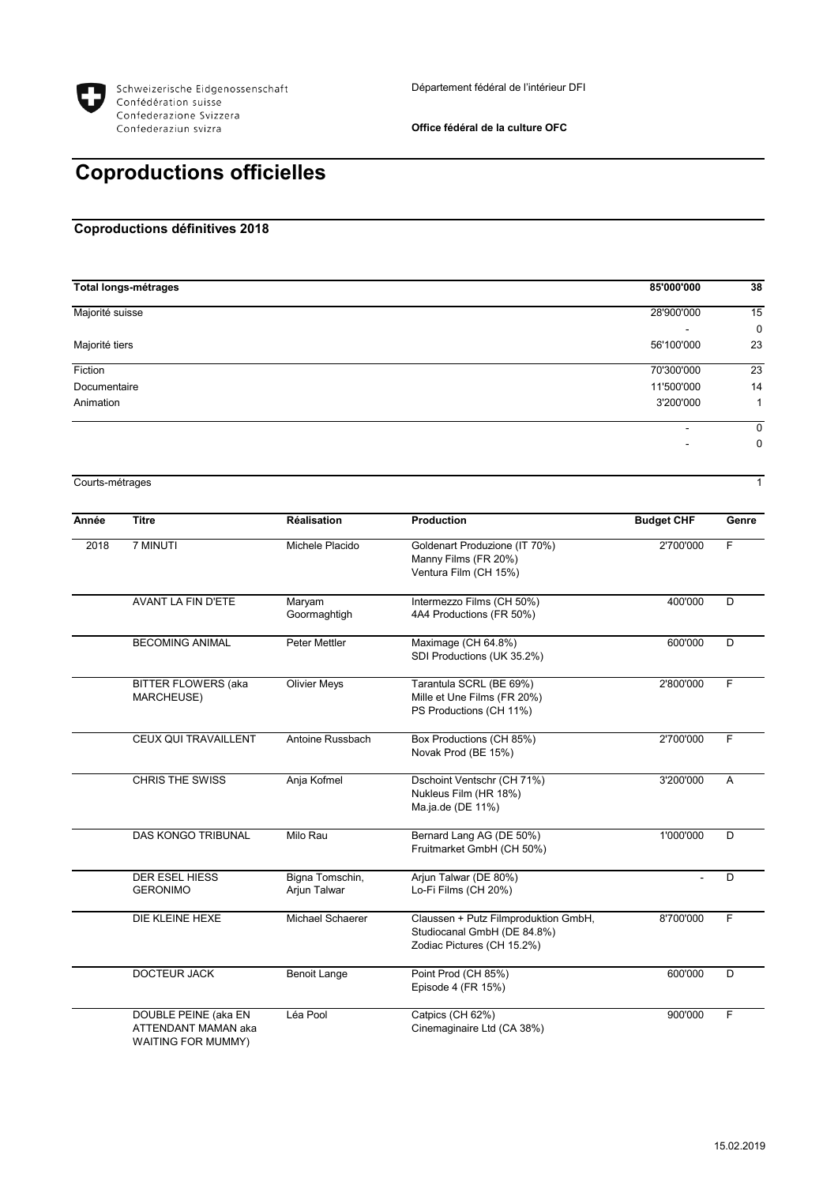

**Office fédéral de la culture OFC**

## **Coproductions officielles**

## **Coproductions définitives 2018**

| 85'000'000 | 38          |
|------------|-------------|
| 28'900'000 | 15          |
| -          | $\mathbf 0$ |
| 56'100'000 | 23          |
| 70'300'000 | 23          |
| 11'500'000 | 14          |
| 3'200'000  | 1           |
| -          | 0           |
| ۰          | $\mathbf 0$ |
|            |             |

Courts-métrages 1

| Année | <b>Titre</b>                                                             | <b>Réalisation</b>              | <b>Production</b>                                                                                 | <b>Budget CHF</b> | Genre |
|-------|--------------------------------------------------------------------------|---------------------------------|---------------------------------------------------------------------------------------------------|-------------------|-------|
| 2018  | 7 MINUTI                                                                 | Michele Placido                 | Goldenart Produzione (IT 70%)<br>Manny Films (FR 20%)<br>Ventura Film (CH 15%)                    | 2'700'000         | F     |
|       | AVANT LA FIN D'ETE                                                       | Maryam<br>Goormaghtigh          | Intermezzo Films (CH 50%)<br>4A4 Productions (FR 50%)                                             | 400'000           | D     |
|       | <b>BECOMING ANIMAL</b>                                                   | <b>Peter Mettler</b>            | Maximage (CH 64.8%)<br>SDI Productions (UK 35.2%)                                                 | 600'000           | D     |
|       | <b>BITTER FLOWERS (aka</b><br>MARCHEUSE)                                 | <b>Olivier Meys</b>             | Tarantula SCRL (BE 69%)<br>Mille et Une Films (FR 20%)<br>PS Productions (CH 11%)                 | 2'800'000         | F     |
|       | CEUX QUI TRAVAILLENT                                                     | Antoine Russbach                | Box Productions (CH 85%)<br>Novak Prod (BE 15%)                                                   | 2'700'000         | F     |
|       | <b>CHRIS THE SWISS</b>                                                   | Anja Kofmel                     | Dschoint Ventschr (CH 71%)<br>Nukleus Film (HR 18%)<br>Ma.ja.de (DE 11%)                          | 3'200'000         | A     |
|       | <b>DAS KONGO TRIBUNAL</b>                                                | Milo Rau                        | Bernard Lang AG (DE 50%)<br>Fruitmarket GmbH (CH 50%)                                             | 1'000'000         | D     |
|       | <b>DER ESEL HIESS</b><br><b>GERONIMO</b>                                 | Bigna Tomschin,<br>Arjun Talwar | Arjun Talwar (DE 80%)<br>Lo-Fi Films (CH 20%)                                                     |                   | D     |
|       | DIE KLEINE HEXE                                                          | Michael Schaerer                | Claussen + Putz Filmproduktion GmbH,<br>Studiocanal GmbH (DE 84.8%)<br>Zodiac Pictures (CH 15.2%) | 8'700'000         | F     |
|       | <b>DOCTEUR JACK</b>                                                      | <b>Benoit Lange</b>             | Point Prod (CH 85%)<br>Episode 4 (FR 15%)                                                         | 600'000           | D     |
|       | DOUBLE PEINE (aka EN<br>ATTENDANT MAMAN aka<br><b>WAITING FOR MUMMY)</b> | Léa Pool                        | Catpics (CH 62%)<br>Cinemaginaire Ltd (CA 38%)                                                    | 900'000           | F     |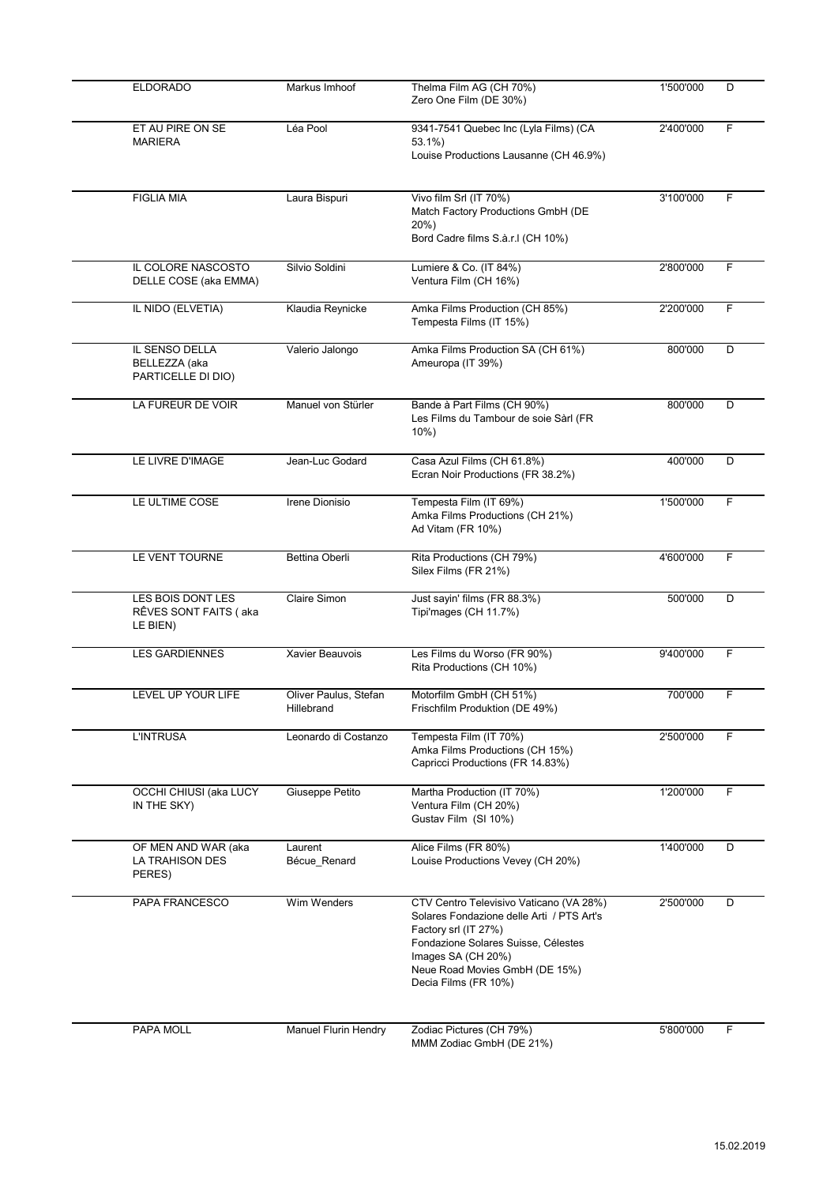| <b>ELDORADO</b>                                         | Markus Imhoof                       | Thelma Film AG (CH 70%)<br>Zero One Film (DE 30%)                                                                                                                                                                                   | 1'500'000 | D |
|---------------------------------------------------------|-------------------------------------|-------------------------------------------------------------------------------------------------------------------------------------------------------------------------------------------------------------------------------------|-----------|---|
| ET AU PIRE ON SE<br><b>MARIERA</b>                      | Léa Pool                            | 9341-7541 Quebec Inc (Lyla Films) (CA<br>53.1%)<br>Louise Productions Lausanne (CH 46.9%)                                                                                                                                           | 2'400'000 | F |
| <b>FIGLIA MIA</b>                                       | Laura Bispuri                       | Vivo film Srl (IT 70%)<br>Match Factory Productions GmbH (DE<br>20%)<br>Bord Cadre films S.à.r.I (CH 10%)                                                                                                                           | 3'100'000 | F |
| IL COLORE NASCOSTO<br>DELLE COSE (aka EMMA)             | Silvio Soldini                      | Lumiere & Co. (IT 84%)<br>Ventura Film (CH 16%)                                                                                                                                                                                     | 2'800'000 | F |
| IL NIDO (ELVETIA)                                       | Klaudia Reynicke                    | Amka Films Production (CH 85%)<br>Tempesta Films (IT 15%)                                                                                                                                                                           | 2'200'000 | F |
| IL SENSO DELLA<br>BELLEZZA (aka<br>PARTICELLE DI DIO)   | Valerio Jalongo                     | Amka Films Production SA (CH 61%)<br>Ameuropa (IT 39%)                                                                                                                                                                              | 800'000   | D |
| LA FUREUR DE VOIR                                       | Manuel von Stürler                  | Bande à Part Films (CH 90%)<br>Les Films du Tambour de soie Sàrl (FR<br>$10\%$ )                                                                                                                                                    | 800'000   | D |
| LE LIVRE D'IMAGE                                        | Jean-Luc Godard                     | Casa Azul Films (CH 61.8%)<br>Ecran Noir Productions (FR 38.2%)                                                                                                                                                                     | 400'000   | D |
| LE ULTIME COSE                                          | Irene Dionisio                      | Tempesta Film (IT 69%)<br>Amka Films Productions (CH 21%)<br>Ad Vitam (FR 10%)                                                                                                                                                      | 1'500'000 | F |
| LE VENT TOURNE                                          | Bettina Oberli                      | Rita Productions (CH 79%)<br>Silex Films (FR 21%)                                                                                                                                                                                   | 4'600'000 | F |
| LES BOIS DONT LES<br>RÊVES SONT FAITS (aka<br>LE BIEN)  | <b>Claire Simon</b>                 | Just sayin' films (FR 88.3%)<br>Tipi'mages (CH 11.7%)                                                                                                                                                                               | 500'000   | D |
| <b>LES GARDIENNES</b>                                   | Xavier Beauvois                     | Les Films du Worso (FR 90%)<br>Rita Productions (CH 10%)                                                                                                                                                                            | 9'400'000 | F |
| LEVEL UP YOUR LIFE                                      | Oliver Paulus, Stefan<br>Hillebrand | Motorfilm GmbH (CH 51%)<br>Frischfilm Produktion (DE 49%)                                                                                                                                                                           | 700'000   | F |
| <b>L'INTRUSA</b>                                        | Leonardo di Costanzo                | Tempesta Film (IT 70%)<br>Amka Films Productions (CH 15%)<br>Capricci Productions (FR 14.83%)                                                                                                                                       | 2'500'000 | F |
| OCCHI CHIUSI (aka LUCY<br>IN THE SKY)                   | Giuseppe Petito                     | Martha Production (IT 70%)<br>Ventura Film (CH 20%)<br>Gustav Film (SI 10%)                                                                                                                                                         | 1'200'000 | F |
| OF MEN AND WAR (aka<br><b>LA TRAHISON DES</b><br>PERES) | Laurent<br>Bécue Renard             | Alice Films (FR 80%)<br>Louise Productions Vevey (CH 20%)                                                                                                                                                                           | 1'400'000 | D |
| PAPA FRANCESCO                                          | Wim Wenders                         | CTV Centro Televisivo Vaticano (VA 28%)<br>Solares Fondazione delle Arti / PTS Art's<br>Factory srl (IT 27%)<br>Fondazione Solares Suisse, Célestes<br>Images SA (CH 20%)<br>Neue Road Movies GmbH (DE 15%)<br>Decia Films (FR 10%) | 2'500'000 | D |
| PAPA MOLL                                               | <b>Manuel Flurin Hendry</b>         | Zodiac Pictures (CH 79%)<br>MMM Zodiac GmbH (DE 21%)                                                                                                                                                                                | 5'800'000 | F |